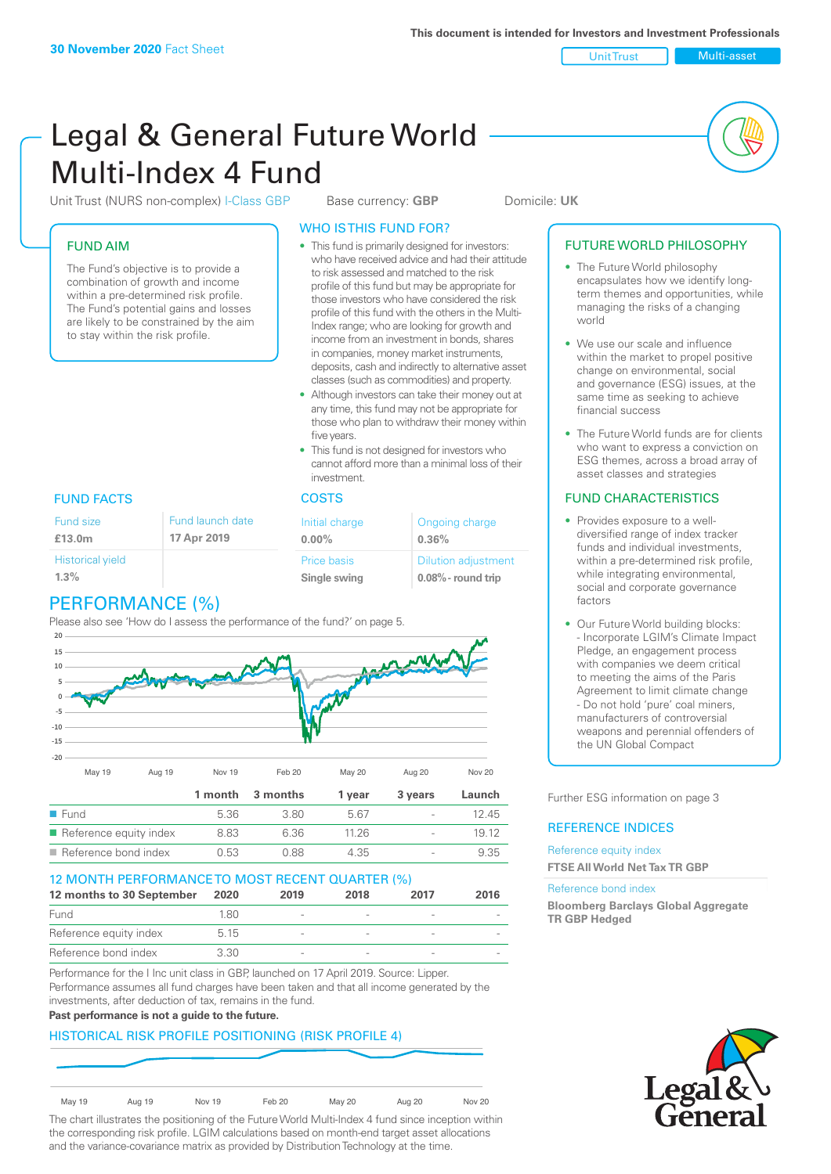Unit Trust Nulti-asset

# Legal & General Future World Multi-Index 4 Fund

Unit Trust (NURS non-complex) I-Class GBP Base currency: **GBP** Domicile: UK

## FUND AIM

The Fund's objective is to provide a combination of growth and income within a pre-determined risk profile. The Fund's potential gains and losses are likely to be constrained by the aim to stay within the risk profile.

## WHO IS THIS FUND FOR?

- This fund is primarily designed for investors: who have received advice and had their attitude to risk assessed and matched to the risk profile of this fund but may be appropriate for those investors who have considered the risk profile of this fund with the others in the Multi-Index range; who are looking for growth and income from an investment in bonds, shares in companies, money market instruments, deposits, cash and indirectly to alternative asset classes (such as commodities) and property.
- Although investors can take their money out at any time, this fund may not be appropriate for those who plan to withdraw their money within five years.
- This fund is not designed for investors who cannot afford more than a minimal loss of their investment.

## FUND FACTS COSTS

| Fund launch date<br>Fund size<br>17 Apr 2019<br>£13.0m |  | Initial charge<br>$0.00\%$ | Ongoing charge<br>0.36%    |
|--------------------------------------------------------|--|----------------------------|----------------------------|
| <b>Historical yield</b>                                |  | Price basis                | <b>Dilution adjustment</b> |
| 1.3%                                                   |  | Single swing               | $0.08\%$ - round trip      |

# PERFORMANCE (%)

Please also see 'How do I assess the performance of the fund?' on page 5.



| $\blacksquare$ Reference equity index | 8.83  | 6.36  | 11 26 | $\overline{\phantom{a}}$ | 19.12 |
|---------------------------------------|-------|-------|-------|--------------------------|-------|
| Reference bond index                  | 0.53. | N 88. | 4.35  | $\overline{\phantom{0}}$ | 9.35  |
|                                       |       |       |       |                          |       |

#### 12 MONTH PERFORMANCE TO MOST RECENT QUARTER (%) **12 months to 30 September 2020 2019 2018 2017 2016**

| Fund                   | 1.80 | $\sim$                   | $\overline{\phantom{a}}$ |  |
|------------------------|------|--------------------------|--------------------------|--|
| Reference equity index | 5.15 | $\overline{\phantom{a}}$ | $\overline{\phantom{a}}$ |  |
| Reference bond index   | 3.30 | $\overline{\phantom{a}}$ |                          |  |

Performance for the I Inc unit class in GBP, launched on 17 April 2019. Source: Lipper. Performance assumes all fund charges have been taken and that all income generated by the investments, after deduction of tax, remains in the fund.

#### **Past performance is not a guide to the future.**

## HISTORICAL RISK PROFILE POSITIONING (RISK PROFILE 4)

| <b>May 19</b> | Aug 19 | Nov 19 | Feb 20 | <b>May 20</b> | Aug 20 | Nov 20 |
|---------------|--------|--------|--------|---------------|--------|--------|

The chart illustrates the positioning of the Future World Multi-Index 4 fund since inception within the corresponding risk profile. LGIM calculations based on month-end target asset allocations and the variance-covariance matrix as provided by Distribution Technology at the time.

#### FUTURE WORLD PHILOSOPHY

- The Future World philosophy encapsulates how we identify longterm themes and opportunities, while managing the risks of a changing world
- We use our scale and influence within the market to propel positive change on environmental, social and governance (ESG) issues, at the same time as seeking to achieve financial success
- The Future World funds are for clients who want to express a conviction on ESG themes, across a broad array of asset classes and strategies

## FUND CHARACTERISTICS

- Provides exposure to a welldiversified range of index tracker funds and individual investments, within a pre-determined risk profile while integrating environmental, social and corporate governance factors
- Our Future World building blocks: - Incorporate LGIM's Climate Impact Pledge, an engagement process with companies we deem critical to meeting the aims of the Paris Agreement to limit climate change - Do not hold 'pure' coal miners, manufacturers of controversial weapons and perennial offenders of the UN Global Compact

Further ESG information on page 3

#### REFERENCE INDICES

#### Reference equity index **FTSE All World Net Tax TR GBP**

#### Reference bond index

**Bloomberg Barclays Global Aggregate TR GBP Hedged**

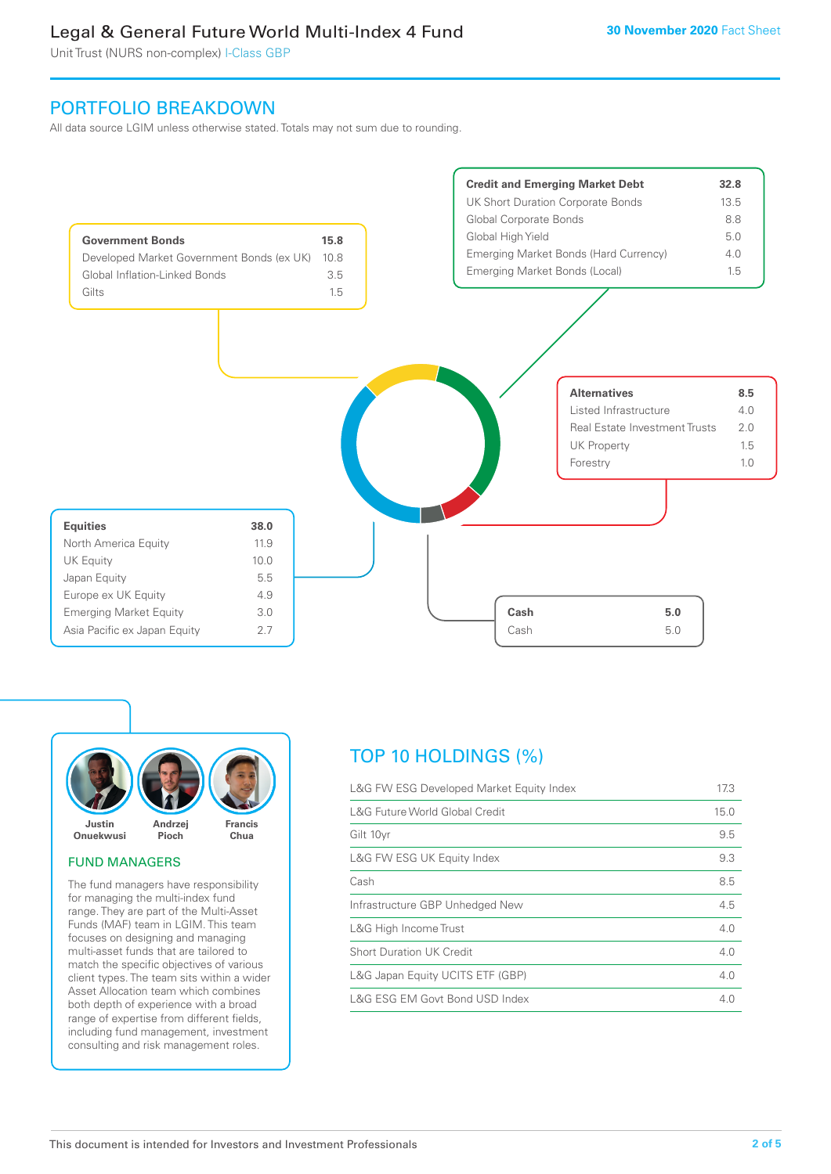Unit Trust (NURS non-complex) I-Class GBP

## PORTFOLIO BREAKDOWN

All data source LGIM unless otherwise stated. Totals may not sum due to rounding.





#### FUND MANAGERS

The fund managers have responsibility for managing the multi-index fund range. They are part of the Multi-Asset Funds (MAF) team in LGIM. This team focuses on designing and managing multi-asset funds that are tailored to match the specific objectives of various client types. The team sits within a wider Asset Allocation team which combines both depth of experience with a broad range of expertise from different fields, including fund management, investment consulting and risk management roles.

# TOP 10 HOLDINGS (%)

| L&G FW ESG Developed Market Equity Index | 17.3 |
|------------------------------------------|------|
| L&G Future World Global Credit           | 15.0 |
| Gilt 10yr                                | 9.5  |
| L&G FW ESG UK Equity Index               | 9.3  |
| Cash                                     | 8.5  |
| Infrastructure GBP Unhedged New          | 4.5  |
| L&G High Income Trust                    | 4.0  |
| <b>Short Duration UK Credit</b>          | 4.0  |
| L&G Japan Equity UCITS ETF (GBP)         | 4.0  |
| L&G ESG EM Govt Bond USD Index           | 4 N  |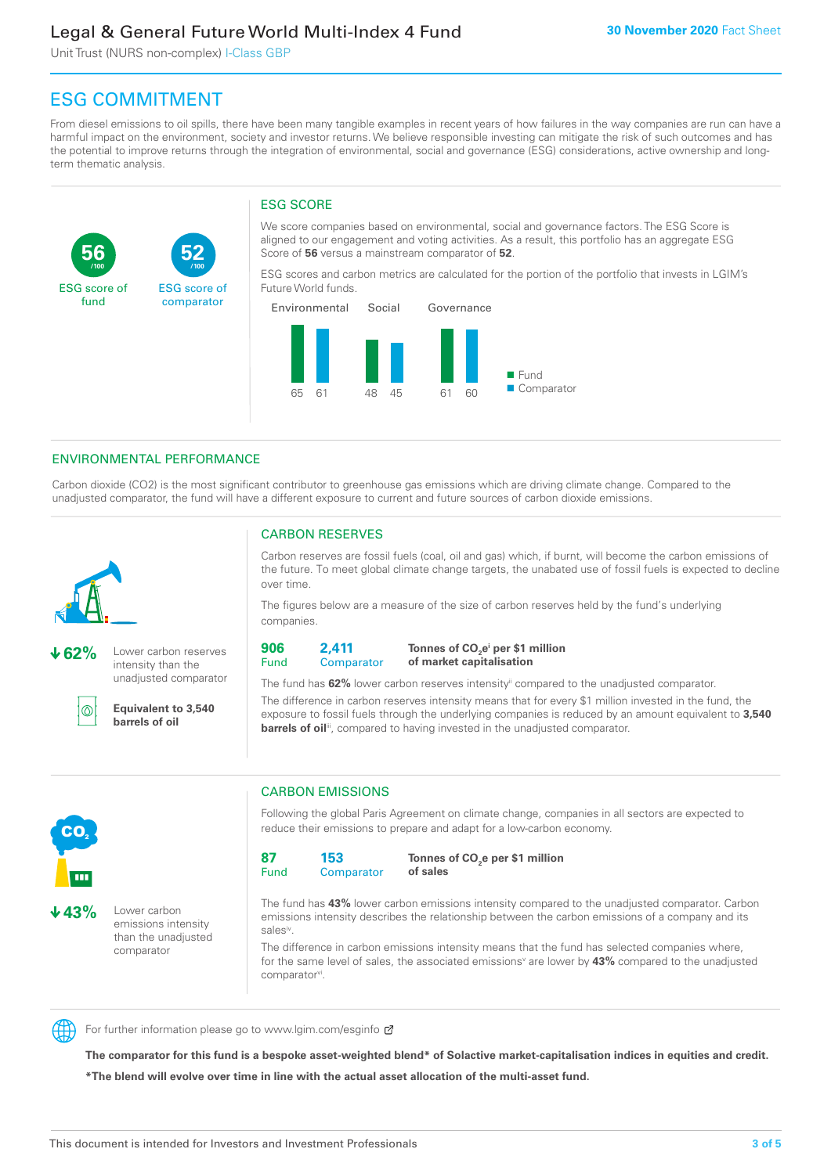Unit Trust (NURS non-complex) I-Class GBP

**52**

ESG score of comparator

# ESG COMMITMENT

**/100 /100**

From diesel emissions to oil spills, there have been many tangible examples in recent years of how failures in the way companies are run can have a harmful impact on the environment, society and investor returns. We believe responsible investing can mitigate the risk of such outcomes and has the potential to improve returns through the integration of environmental, social and governance (ESG) considerations, active ownership and longterm thematic analysis.

## ESG SCORE

We score companies based on environmental, social and governance factors. The ESG Score is aligned to our engagement and voting activities. As a result, this portfolio has an aggregate ESG Score of **56** versus a mainstream comparator of **52**.

ESG scores and carbon metrics are calculated for the portion of the portfolio that invests in LGIM's Future World funds.



## ENVIRONMENTAL PERFORMANCE

Carbon dioxide (CO2) is the most significant contributor to greenhouse gas emissions which are driving climate change. Compared to the unadjusted comparator, the fund will have a different exposure to current and future sources of carbon dioxide emissions.



**56**

ESG score of fund

**62%** Lower carbon reserves intensity than the unadjusted comparator

൹

CO<sub>2</sub>

**43%** Lower carbon

emissions intensity than the unadjusted comparator

**Equivalent to 3,540 barrels of oil**

## CARBON RESERVES

Carbon reserves are fossil fuels (coal, oil and gas) which, if burnt, will become the carbon emissions of the future. To meet global climate change targets, the unabated use of fossil fuels is expected to decline over time.

The figures below are a measure of the size of carbon reserves held by the fund's underlying companies.

**906** Fund **2,411 Comparator** 

**Tonnes of CO2 ei per \$1 million of market capitalisation**

The fund has **62%** lower carbon reserves intensityii compared to the unadjusted comparator. The difference in carbon reserves intensity means that for every \$1 million invested in the fund, the exposure to fossil fuels through the underlying companies is reduced by an amount equivalent to **3,540 barrels of oil**<sup>iii</sup>, compared to having invested in the unadjusted comparator.



Following the global Paris Agreement on climate change, companies in all sectors are expected to reduce their emissions to prepare and adapt for a low-carbon economy.



**Tonnes of CO2 e per \$1 million of sales**

The fund has **43%** lower carbon emissions intensity compared to the unadjusted comparator. Carbon emissions intensity describes the relationship between the carbon emissions of a company and its salesiv

The difference in carbon emissions intensity means that the fund has selected companies where, for the same level of sales, the associated emissions<sup>v</sup> are lower by 43% compared to the unadjusted comparator<sup>vi</sup>.



For further information please go to www.lgim.com/esginfo Ø

**The comparator for this fund is a bespoke asset-weighted blend\* of Solactive market-capitalisation indices in equities and credit. \*The blend will evolve over time in line with the actual asset allocation of the multi-asset fund.**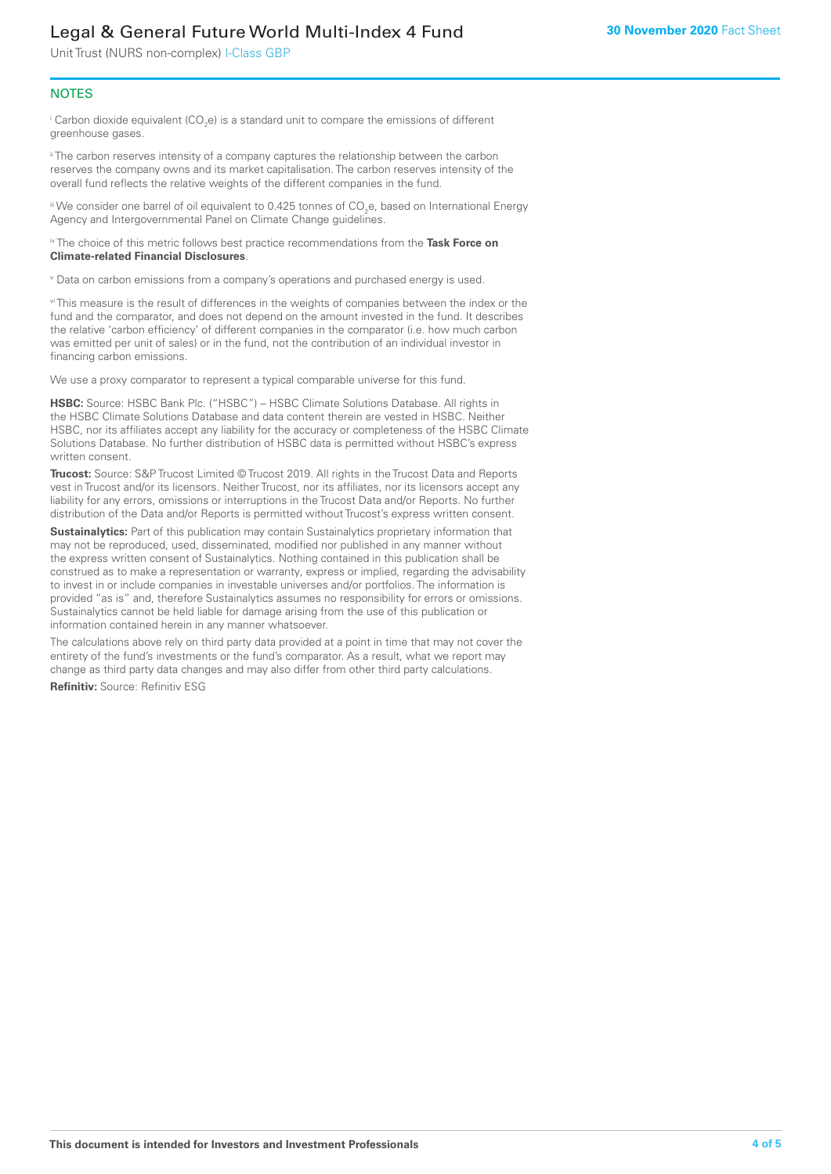Unit Trust (NURS non-complex) I-Class GBP

#### **NOTES**

 $^\mathrm{i}$  Carbon dioxide equivalent (CO<sub>2</sub>e) is a standard unit to compare the emissions of different greenhouse gases.

<sup>ii</sup> The carbon reserves intensity of a company captures the relationship between the carbon reserves the company owns and its market capitalisation. The carbon reserves intensity of the overall fund reflects the relative weights of the different companies in the fund.

iii We consider one barrel of oil equivalent to 0.425 tonnes of CO<sub>2</sub>e, based on International Energy Agency and Intergovernmental Panel on Climate Change guidelines.

#### iv The choice of this metric follows best practice recommendations from the **Task Force on Climate-related Financial Disclosures**.

v Data on carbon emissions from a company's operations and purchased energy is used.

vi This measure is the result of differences in the weights of companies between the index or the fund and the comparator, and does not depend on the amount invested in the fund. It describes the relative 'carbon efficiency' of different companies in the comparator (i.e. how much carbon was emitted per unit of sales) or in the fund, not the contribution of an individual investor in financing carbon emissions.

We use a proxy comparator to represent a typical comparable universe for this fund.

**HSBC:** Source: HSBC Bank Plc. ("HSBC") – HSBC Climate Solutions Database. All rights in the HSBC Climate Solutions Database and data content therein are vested in HSBC. Neither HSBC, nor its affiliates accept any liability for the accuracy or completeness of the HSBC Climate Solutions Database. No further distribution of HSBC data is permitted without HSBC's express written consent.

**Trucost:** Source: S&P Trucost Limited © Trucost 2019. All rights in the Trucost Data and Reports vest in Trucost and/or its licensors. Neither Trucost, nor its affiliates, nor its licensors accept any liability for any errors, omissions or interruptions in the Trucost Data and/or Reports. No further distribution of the Data and/or Reports is permitted without Trucost's express written consent.

**Sustainalytics:** Part of this publication may contain Sustainalytics proprietary information that may not be reproduced, used, disseminated, modified nor published in any manner without the express written consent of Sustainalytics. Nothing contained in this publication shall be construed as to make a representation or warranty, express or implied, regarding the advisability to invest in or include companies in investable universes and/or portfolios. The information is provided "as is" and, therefore Sustainalytics assumes no responsibility for errors or omissions. Sustainalytics cannot be held liable for damage arising from the use of this publication or information contained herein in any manner whatsoever.

The calculations above rely on third party data provided at a point in time that may not cover the entirety of the fund's investments or the fund's comparator. As a result, what we report may change as third party data changes and may also differ from other third party calculations.

**Refinitiv:** Source: Refinitiv ESG